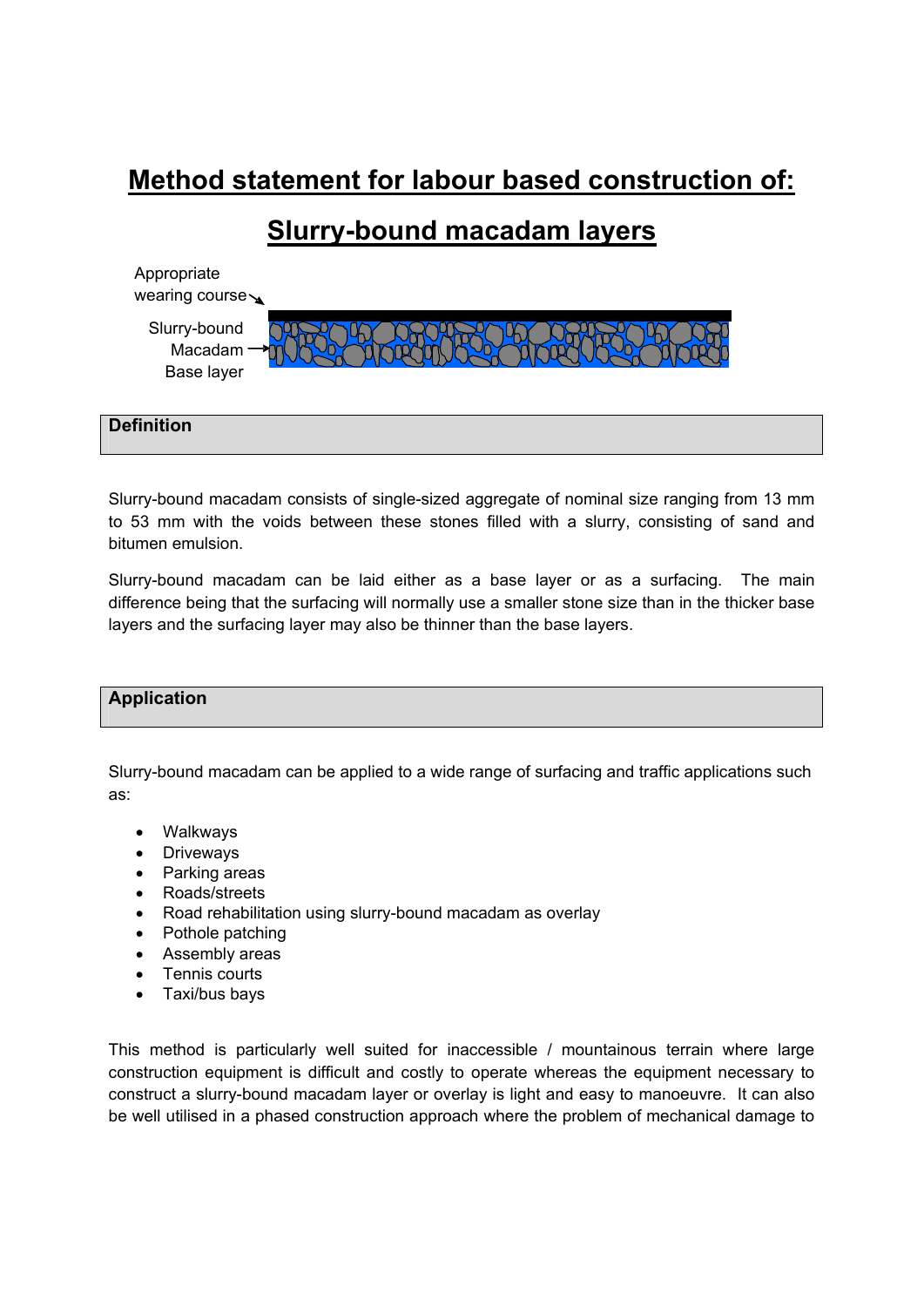# **Method statement for labour based construction of:**

# **Slurry-bound macadam layers**

| Appropriate<br>wearing course         |  |
|---------------------------------------|--|
| Slurry-bound<br>Macadam<br>Base layer |  |



Slurry-bound macadam consists of single-sized aggregate of nominal size ranging from 13 mm to 53 mm with the voids between these stones filled with a slurry, consisting of sand and bitumen emulsion.

Slurry-bound macadam can be laid either as a base layer or as a surfacing. The main difference being that the surfacing will normally use a smaller stone size than in the thicker base layers and the surfacing layer may also be thinner than the base layers.

### **Application**

Slurry-bound macadam can be applied to a wide range of surfacing and traffic applications such as:

- Walkways
- Driveways
- Parking areas
- Roads/streets
- Road rehabilitation using slurry-bound macadam as overlay
- Pothole patching
- Assembly areas
- Tennis courts
- Taxi/bus bays

This method is particularly well suited for inaccessible / mountainous terrain where large construction equipment is difficult and costly to operate whereas the equipment necessary to construct a slurry-bound macadam layer or overlay is light and easy to manoeuvre. It can also be well utilised in a phased construction approach where the problem of mechanical damage to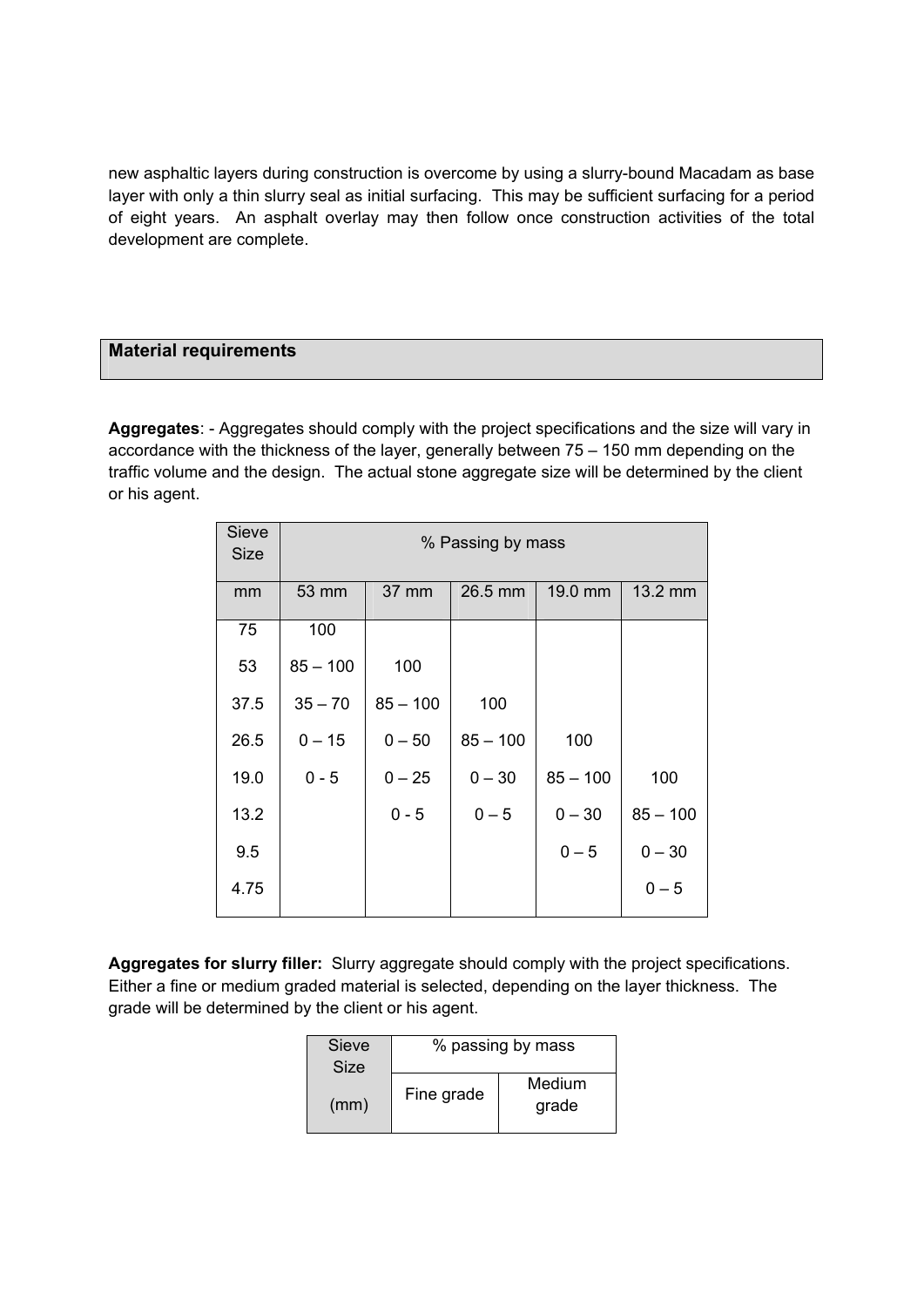new asphaltic layers during construction is overcome by using a slurry-bound Macadam as base layer with only a thin slurry seal as initial surfacing. This may be sufficient surfacing for a period of eight years. An asphalt overlay may then follow once construction activities of the total development are complete.

### **Material requirements**

**Aggregates**: - Aggregates should comply with the project specifications and the size will vary in accordance with the thickness of the layer, generally between 75 – 150 mm depending on the traffic volume and the design. The actual stone aggregate size will be determined by the client or his agent.

| <b>Sieve</b><br><b>Size</b> | % Passing by mass |            |            |            |            |
|-----------------------------|-------------------|------------|------------|------------|------------|
| mm                          | 53 mm             | 37 mm      | $26.5$ mm  | 19.0 mm    | 13.2 mm    |
| 75                          | 100               |            |            |            |            |
| 53                          | $85 - 100$        | 100        |            |            |            |
| 37.5                        | $35 - 70$         | $85 - 100$ | 100        |            |            |
| 26.5                        | $0 - 15$          | $0 - 50$   | $85 - 100$ | 100        |            |
| 19.0                        | $0 - 5$           | $0 - 25$   | $0 - 30$   | $85 - 100$ | 100        |
| 13.2                        |                   | $0 - 5$    | $0 - 5$    | $0 - 30$   | $85 - 100$ |
| 9.5                         |                   |            |            | $0 - 5$    | $0 - 30$   |
| 4.75                        |                   |            |            |            | $0 - 5$    |

**Aggregates for slurry filler:** Slurry aggregate should comply with the project specifications. Either a fine or medium graded material is selected, depending on the layer thickness. The grade will be determined by the client or his agent.

| Sieve<br>Size | % passing by mass |                 |
|---------------|-------------------|-----------------|
| (mm)          | Fine grade        | Medium<br>grade |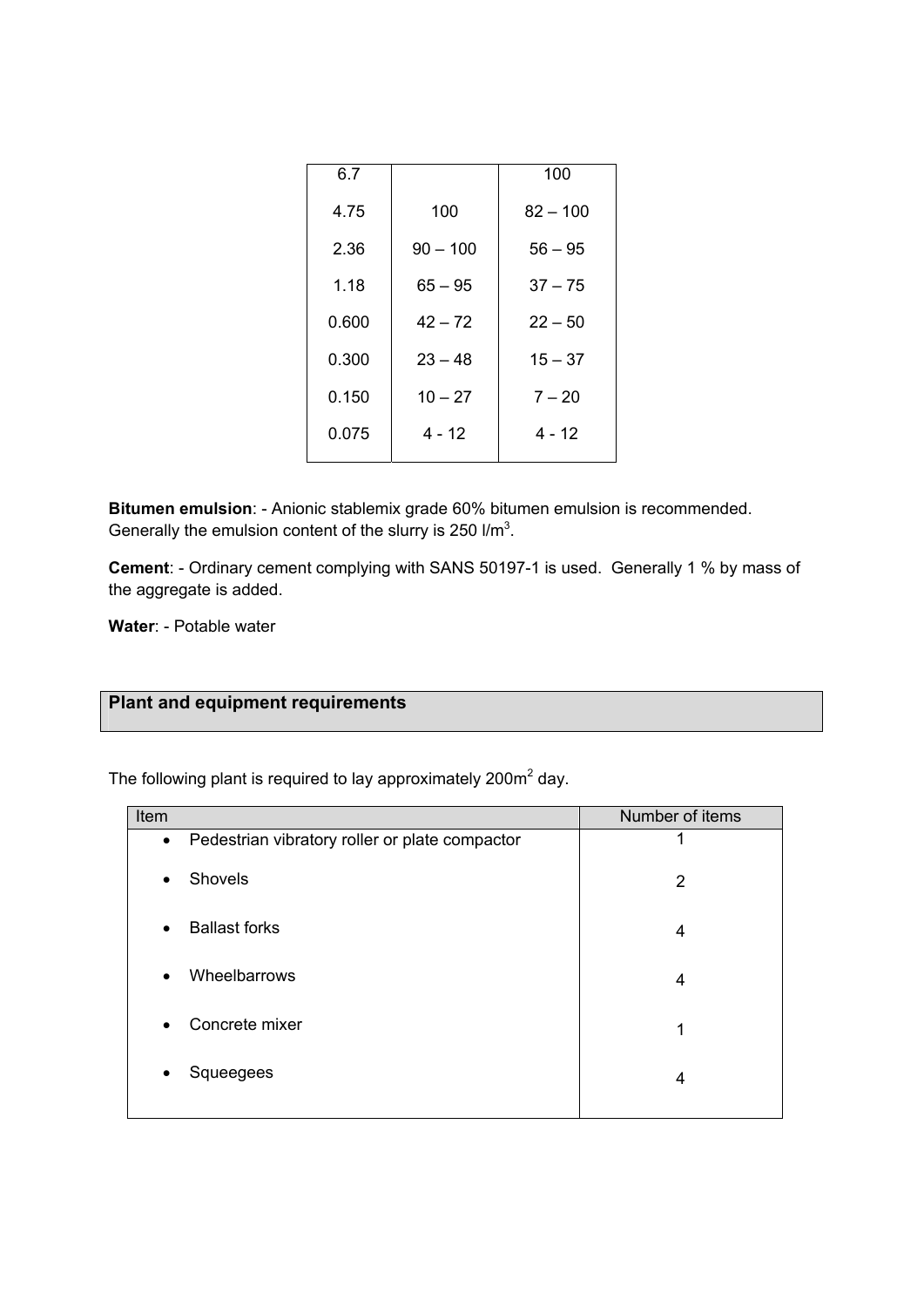| 6.7   |            | 100        |
|-------|------------|------------|
| 4.75  | 100        | $82 - 100$ |
| 2.36  | $90 - 100$ | $56 - 95$  |
| 1.18  | $65 - 95$  | $37 - 75$  |
| 0.600 | $42 - 72$  | $22 - 50$  |
| 0.300 | $23 - 48$  | $15 - 37$  |
| 0.150 | $10 - 27$  | $7 - 20$   |
| 0.075 | 4 - 12     | $4 - 12$   |
|       |            |            |

**Bitumen emulsion**: - Anionic stablemix grade 60% bitumen emulsion is recommended. Generally the emulsion content of the slurry is 250  $I/m<sup>3</sup>$ .

**Cement**: - Ordinary cement complying with SANS 50197-1 is used. Generally 1 % by mass of the aggregate is added.

**Water**: - Potable water

# **Plant and equipment requirements**

The following plant is required to lay approximately 200 $m<sup>2</sup>$  day.

| Item      |                                                | Number of items |
|-----------|------------------------------------------------|-----------------|
| $\bullet$ | Pedestrian vibratory roller or plate compactor |                 |
| $\bullet$ | Shovels                                        | $\overline{2}$  |
| $\bullet$ | <b>Ballast forks</b>                           | 4               |
| $\bullet$ | Wheelbarrows                                   | 4               |
| $\bullet$ | Concrete mixer                                 | 1               |
| $\bullet$ | Squeegees                                      | 4               |
|           |                                                |                 |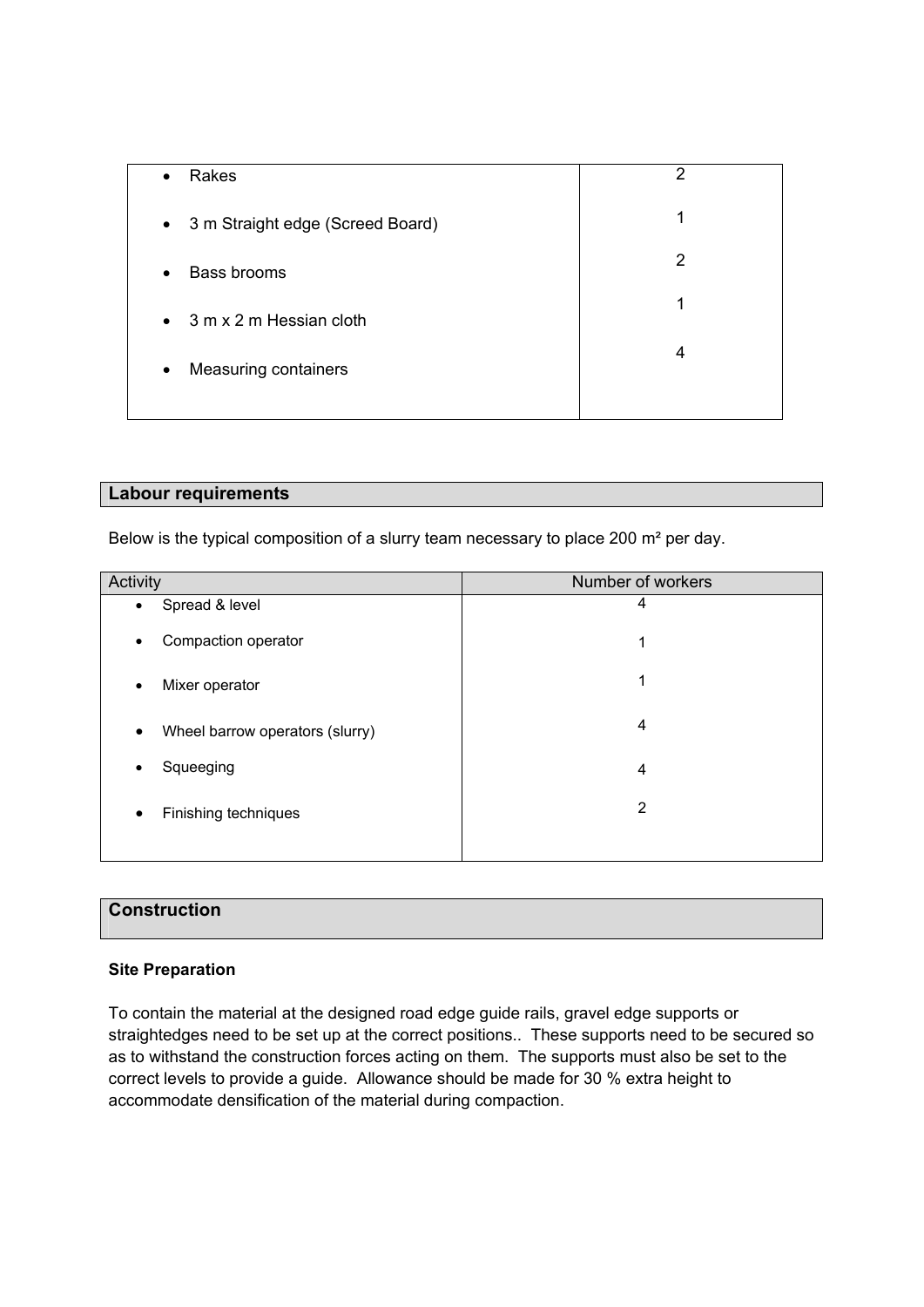| Rakes<br>$\bullet$                 | 2 |
|------------------------------------|---|
| • 3 m Straight edge (Screed Board) | 1 |
| Bass brooms<br>$\bullet$           | 2 |
| $\bullet$ 3 m x 2 m Hessian cloth  | 1 |
| Measuring containers<br>$\bullet$  | 4 |
|                                    |   |

#### **Labour requirements**

Below is the typical composition of a slurry team necessary to place 200 m² per day.

| Activity                             | Number of workers |
|--------------------------------------|-------------------|
| Spread & level<br>$\bullet$          | 4                 |
| Compaction operator<br>٠             | 1                 |
| Mixer operator<br>٠                  | 1                 |
| Wheel barrow operators (slurry)<br>٠ | 4                 |
| Squeeging<br>٠                       | $\overline{4}$    |
| Finishing techniques<br>٠            | 2                 |
|                                      |                   |

## **Construction**

#### **Site Preparation**

To contain the material at the designed road edge guide rails, gravel edge supports or straightedges need to be set up at the correct positions.. These supports need to be secured so as to withstand the construction forces acting on them. The supports must also be set to the correct levels to provide a guide. Allowance should be made for 30 % extra height to accommodate densification of the material during compaction.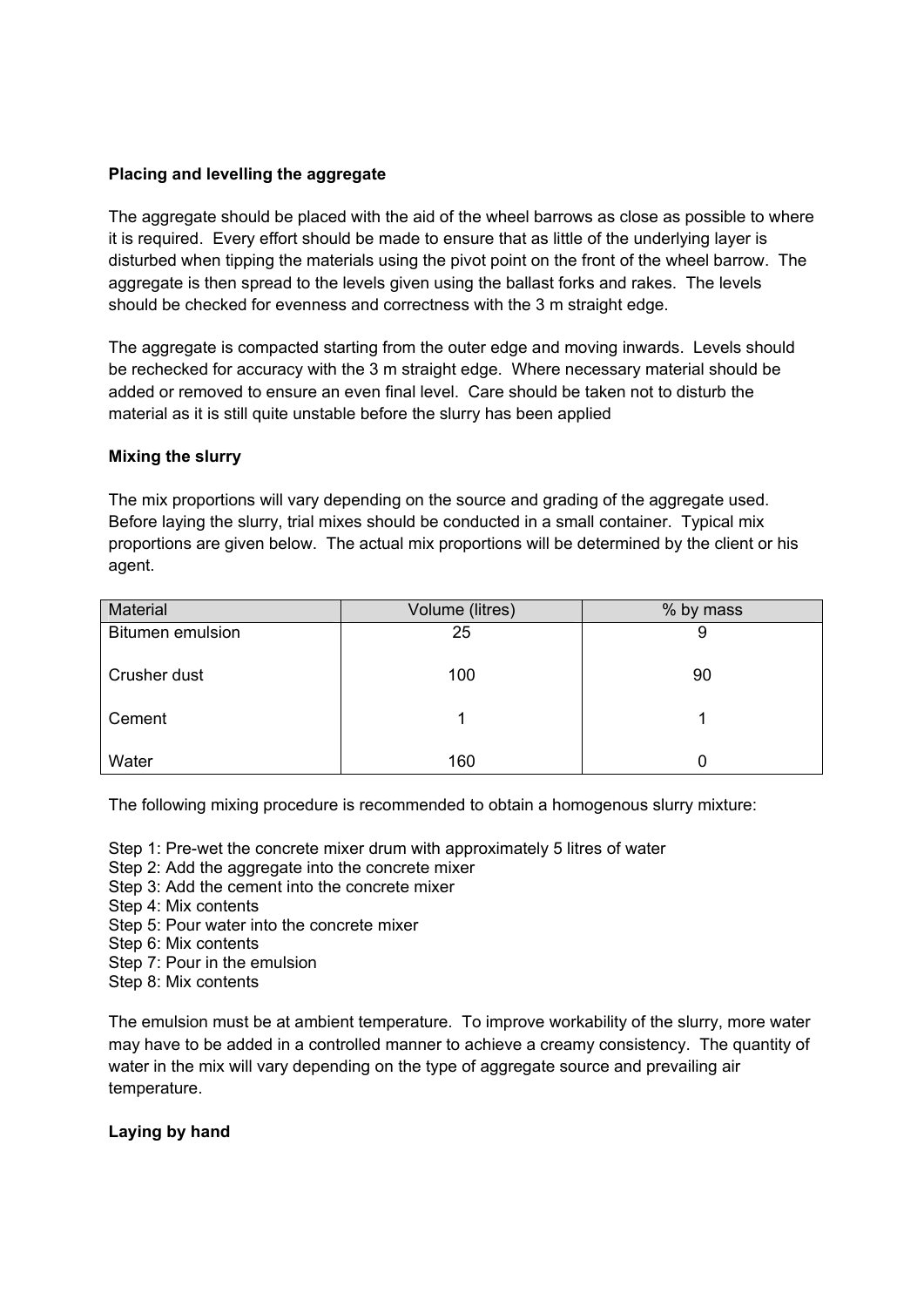#### **Placing and levelling the aggregate**

The aggregate should be placed with the aid of the wheel barrows as close as possible to where it is required. Every effort should be made to ensure that as little of the underlying layer is disturbed when tipping the materials using the pivot point on the front of the wheel barrow. The aggregate is then spread to the levels given using the ballast forks and rakes. The levels should be checked for evenness and correctness with the 3 m straight edge.

The aggregate is compacted starting from the outer edge and moving inwards. Levels should be rechecked for accuracy with the 3 m straight edge. Where necessary material should be added or removed to ensure an even final level. Care should be taken not to disturb the material as it is still quite unstable before the slurry has been applied

#### **Mixing the slurry**

The mix proportions will vary depending on the source and grading of the aggregate used. Before laying the slurry, trial mixes should be conducted in a small container. Typical mix proportions are given below. The actual mix proportions will be determined by the client or his agent.

| Material                | Volume (litres) | % by mass |
|-------------------------|-----------------|-----------|
| <b>Bitumen emulsion</b> | 25              | 9         |
| Crusher dust            | 100             | 90        |
| Cement                  |                 |           |
| Water                   | 160             |           |

The following mixing procedure is recommended to obtain a homogenous slurry mixture:

- Step 1: Pre-wet the concrete mixer drum with approximately 5 litres of water
- Step 2: Add the aggregate into the concrete mixer
- Step 3: Add the cement into the concrete mixer
- Step 4: Mix contents
- Step 5: Pour water into the concrete mixer
- Step 6: Mix contents
- Step 7: Pour in the emulsion
- Step 8: Mix contents

The emulsion must be at ambient temperature. To improve workability of the slurry, more water may have to be added in a controlled manner to achieve a creamy consistency. The quantity of water in the mix will vary depending on the type of aggregate source and prevailing air temperature.

#### **Laying by hand**